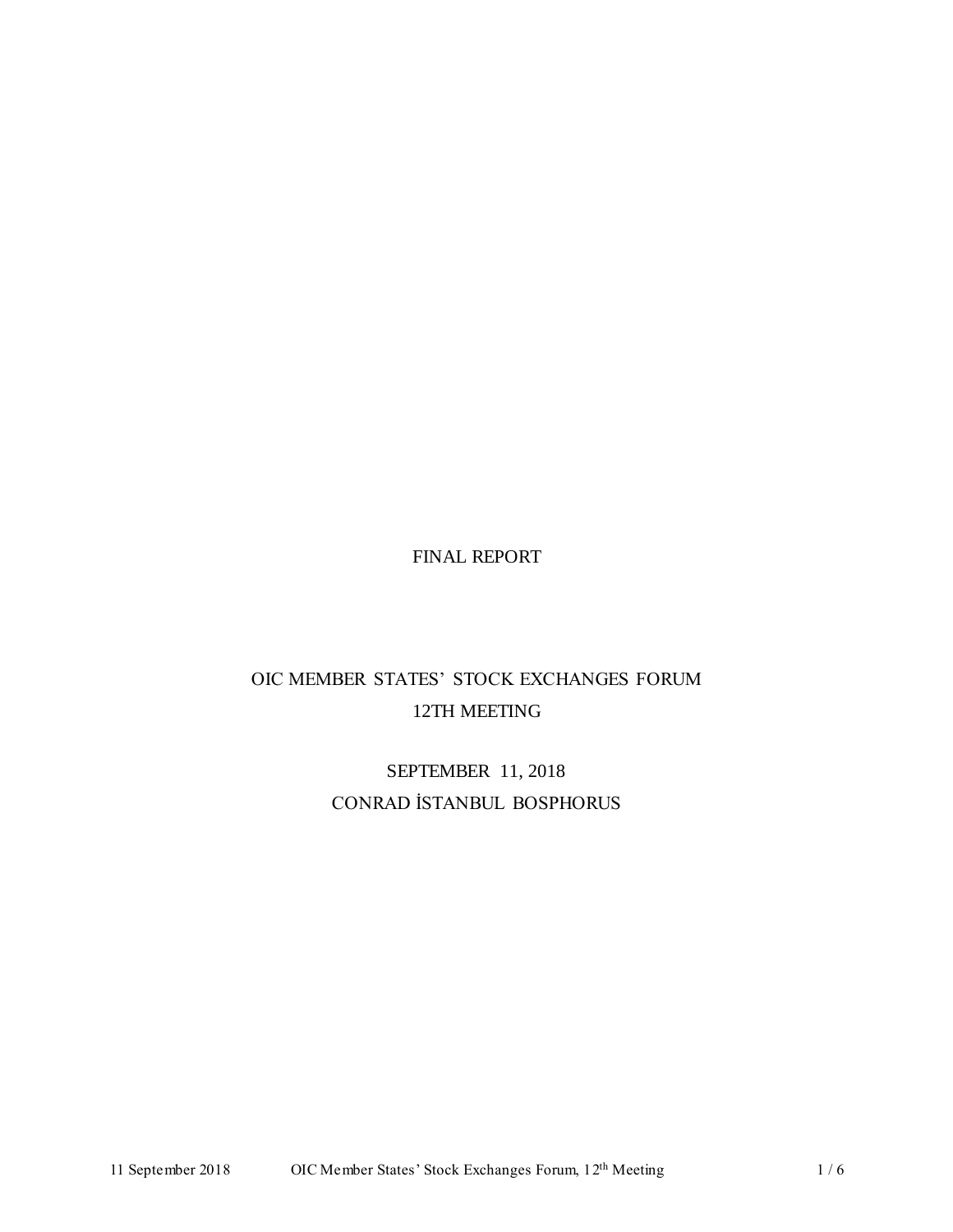## FINAL REPORT

# OIC MEMBER STATES' STOCK EXCHANGES FORUM 12TH MEETING

SEPTEMBER 11, 2018 CONRAD İSTANBUL BOSPHORUS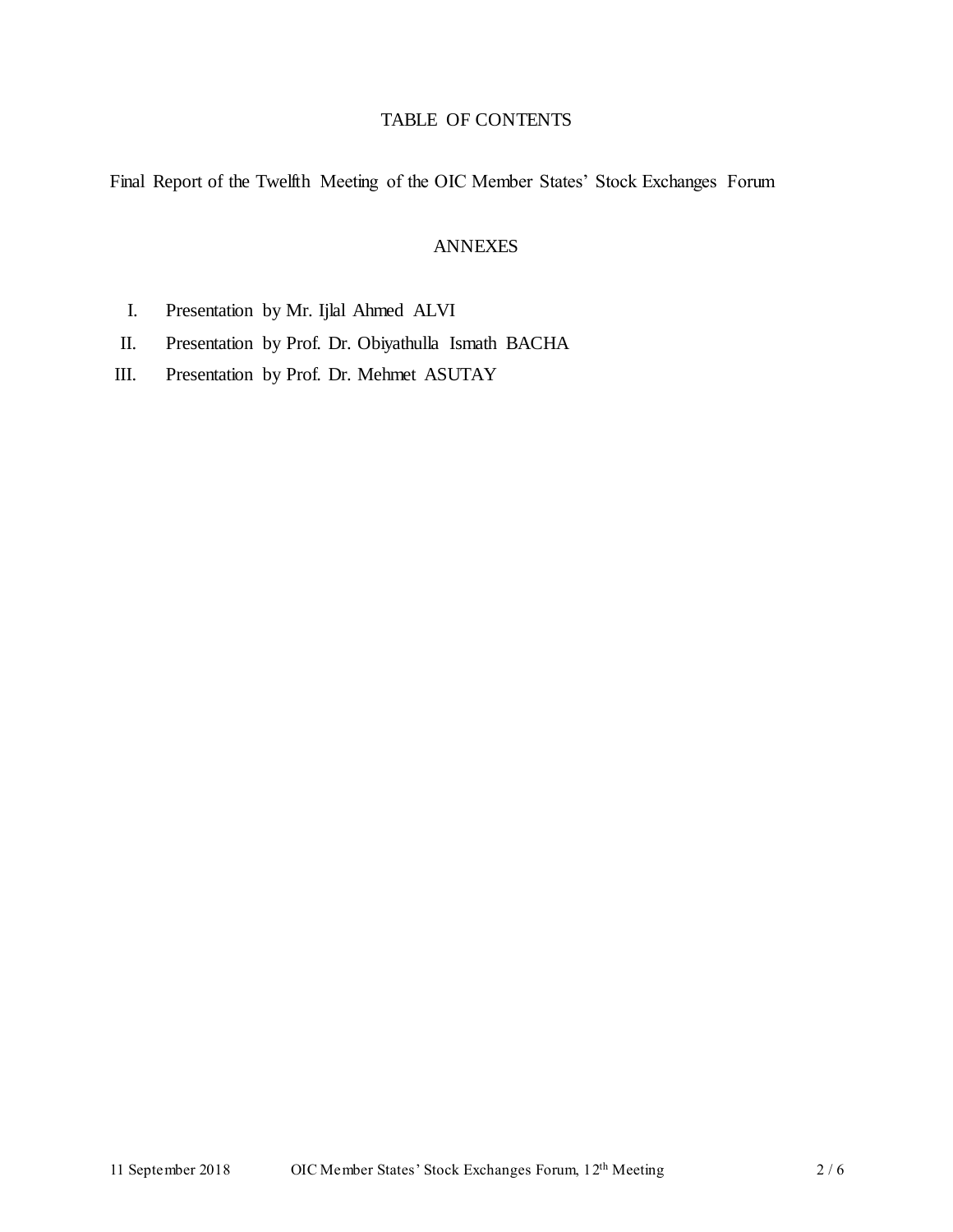### TABLE OF CONTENTS

Final Report of the Twelfth Meeting of the OIC Member States' Stock Exchanges Forum

#### ANNEXES

- I. Presentation by Mr. Ijlal Ahmed ALVI
- II. Presentation by Prof. Dr. Obiyathulla Ismath BACHA
- III. Presentation by Prof. Dr. Mehmet ASUTAY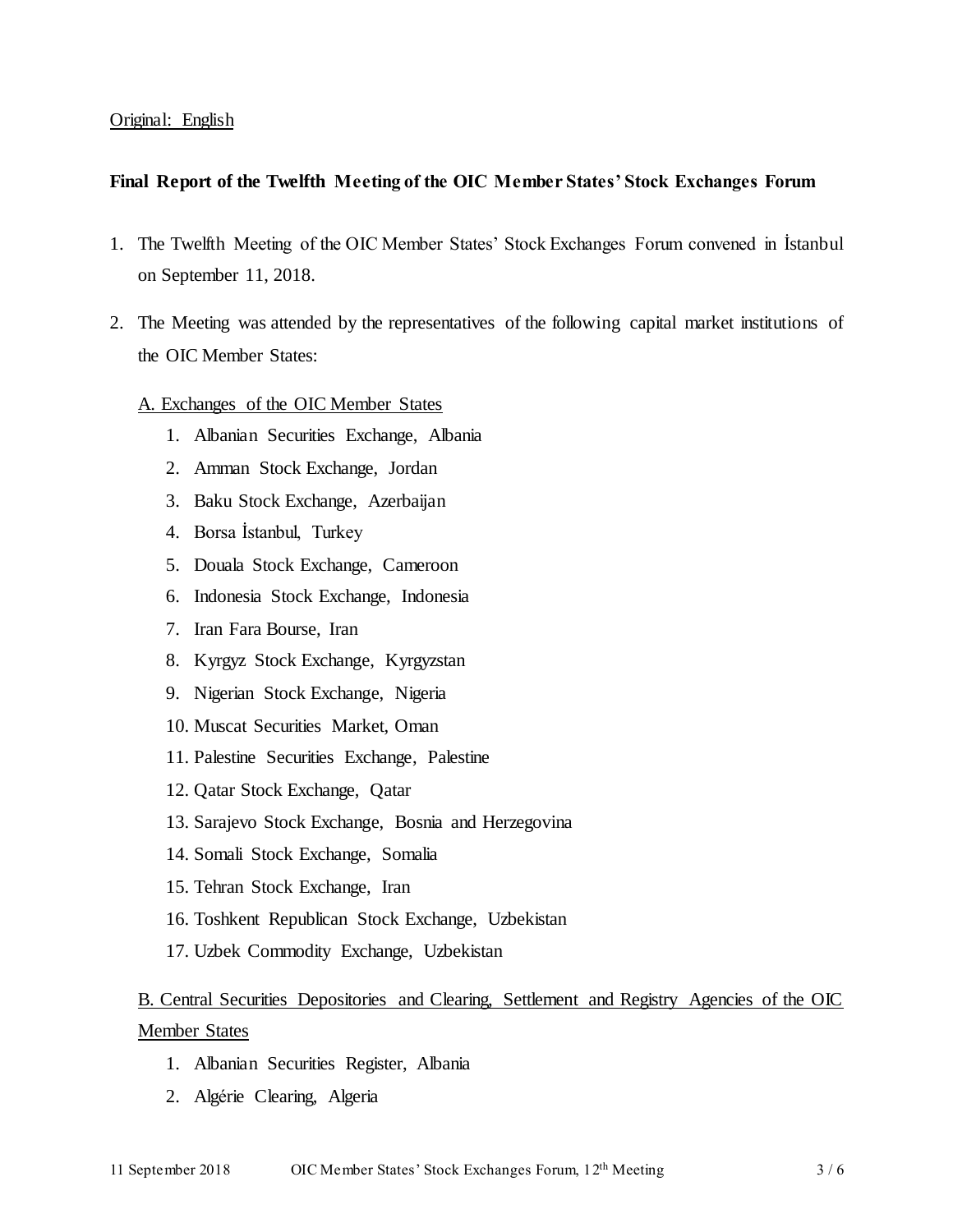#### Original: English

#### **Final Report of the Twelfth Meeting of the OIC Member States' Stock Exchanges Forum**

- 1. The Twelfth Meeting of the OIC Member States' Stock Exchanges Forum convened in İstanbul on September 11, 2018.
- 2. The Meeting was attended by the representatives of the following capital market institutions of the OIC Member States:

#### A. Exchanges of the OIC Member States

- 1. Albanian Securities Exchange, Albania
- 2. Amman Stock Exchange, Jordan
- 3. Baku Stock Exchange, Azerbaijan
- 4. Borsa İstanbul, Turkey
- 5. Douala Stock Exchange, Cameroon
- 6. Indonesia Stock Exchange, Indonesia
- 7. Iran Fara Bourse, Iran
- 8. Kyrgyz Stock Exchange, Kyrgyzstan
- 9. Nigerian Stock Exchange, Nigeria
- 10. Muscat Securities Market, Oman
- 11. Palestine Securities Exchange, Palestine
- 12. Qatar Stock Exchange, Qatar
- 13. Sarajevo Stock Exchange, Bosnia and Herzegovina
- 14. Somali Stock Exchange, Somalia
- 15. Tehran Stock Exchange, Iran
- 16. Toshkent Republican Stock Exchange, Uzbekistan
- 17. Uzbek Commodity Exchange, Uzbekistan

## B. Central Securities Depositories and Clearing, Settlement and Registry Agencies of the OIC Member States

- 1. Albanian Securities Register, Albania
- 2. Algérie Clearing, Algeria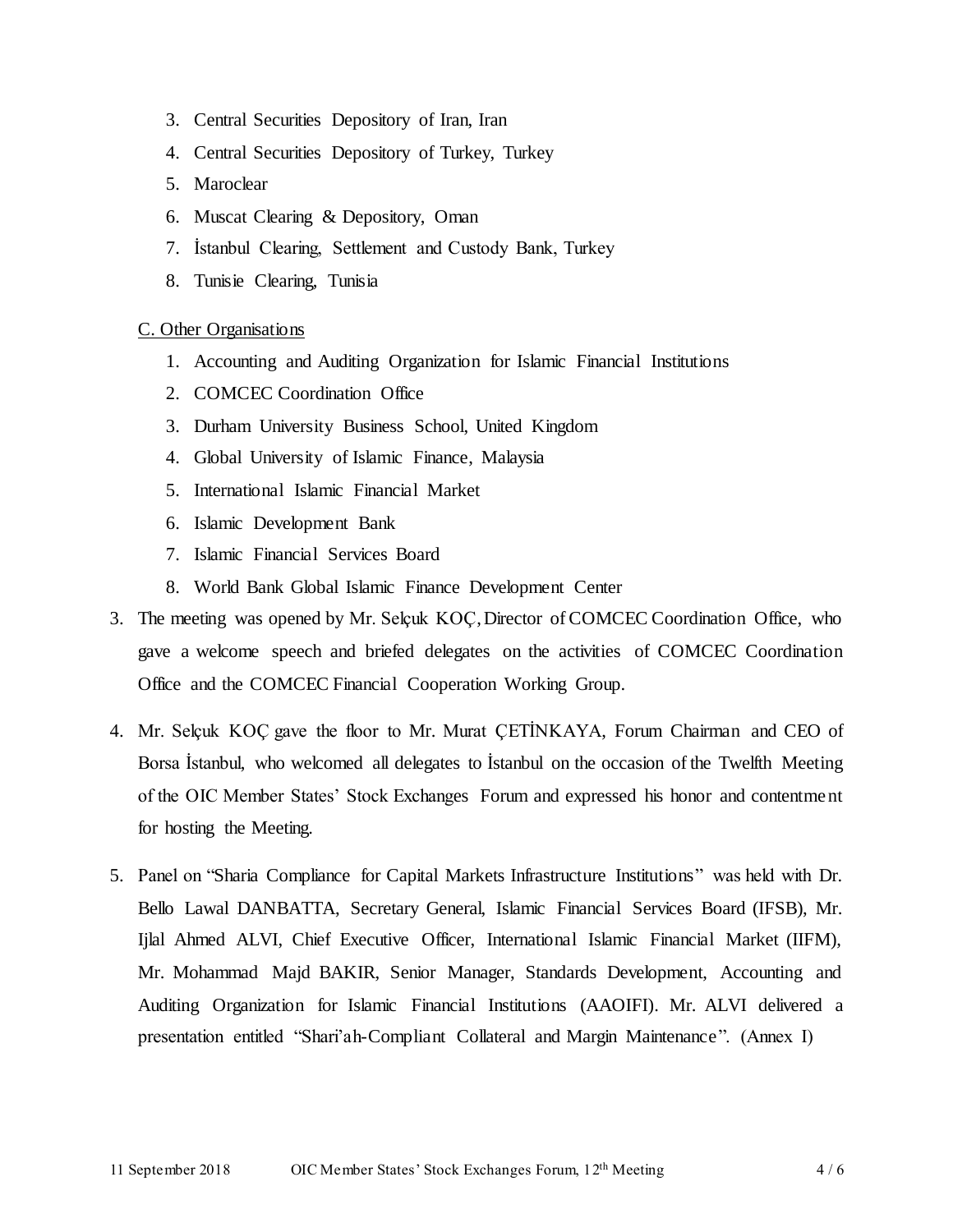- 3. Central Securities Depository of Iran, Iran
- 4. Central Securities Depository of Turkey, Turkey
- 5. Maroclear
- 6. Muscat Clearing & Depository, Oman
- 7. İstanbul Clearing, Settlement and Custody Bank, Turkey
- 8. Tunisie Clearing, Tunisia

#### C. Other Organisations

- 1. Accounting and Auditing Organization for Islamic Financial Institutions
- 2. COMCEC Coordination Office
- 3. Durham University Business School, United Kingdom
- 4. Global University of Islamic Finance, Malaysia
- 5. International Islamic Financial Market
- 6. Islamic Development Bank
- 7. Islamic Financial Services Board
- 8. World Bank Global Islamic Finance Development Center
- 3. The meeting was opened by Mr. Selçuk KOÇ,Director of COMCEC Coordination Office, who gave a welcome speech and briefed delegates on the activities of COMCEC Coordination Office and the COMCEC Financial Cooperation Working Group.
- 4. Mr. Selçuk KOÇ gave the floor to Mr. Murat ÇETİNKAYA, Forum Chairman and CEO of Borsa İstanbul, who welcomed all delegates to İstanbul on the occasion of the Twelfth Meeting of the OIC Member States' Stock Exchanges Forum and expressed his honor and contentment for hosting the Meeting.
- 5. Panel on "Sharia Compliance for Capital Markets Infrastructure Institutions" was held with Dr. Bello Lawal DANBATTA, Secretary General, Islamic Financial Services Board (IFSB), Mr. Ijlal Ahmed ALVI, Chief Executive Officer, International Islamic Financial Market (IIFM), Mr. Mohammad Majd BAKIR, Senior Manager, Standards Development, Accounting and Auditing Organization for Islamic Financial Institutions (AAOIFI). Mr. ALVI delivered a presentation entitled "Shari'ah-Compliant Collateral and Margin Maintenance". (Annex I)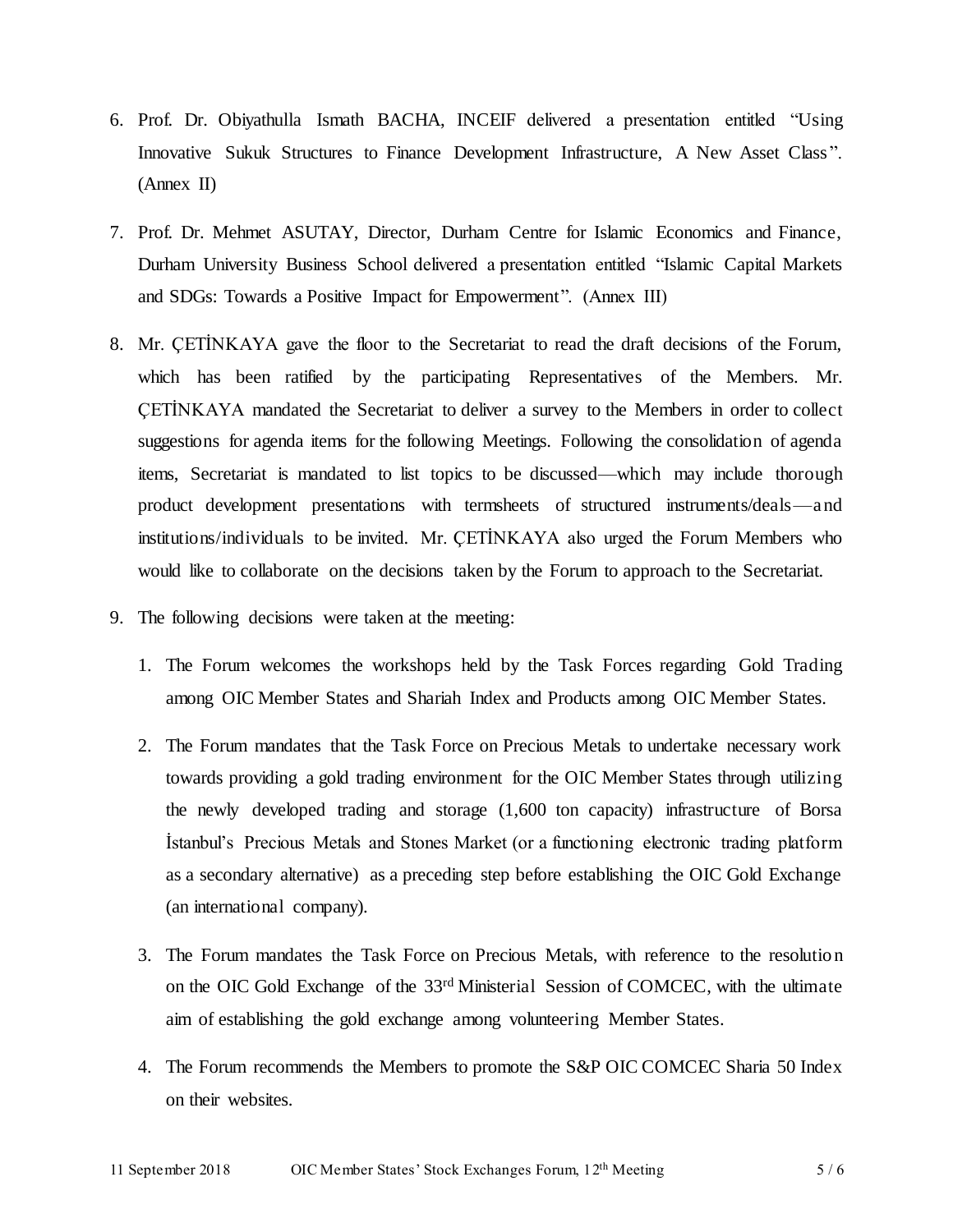- 6. Prof. Dr. Obiyathulla Ismath BACHA, INCEIF delivered a presentation entitled "Using Innovative Sukuk Structures to Finance Development Infrastructure, A New Asset Class ". (Annex II)
- 7. Prof. Dr. Mehmet ASUTAY, Director, Durham Centre for Islamic Economics and Finance, Durham University Business School delivered a presentation entitled "Islamic Capital Markets and SDGs: Towards a Positive Impact for Empowerment". (Annex III)
- 8. Mr. ÇETİNKAYA gave the floor to the Secretariat to read the draft decisions of the Forum, which has been ratified by the participating Representatives of the Members. Mr. ÇETİNKAYA mandated the Secretariat to deliver a survey to the Members in order to collect suggestions for agenda items for the following Meetings. Following the consolidation of agenda items, Secretariat is mandated to list topics to be discussed—which may include thorough product development presentations with termsheets of structured instruments/deals—and institutions/individuals to be invited. Mr. ÇETİNKAYA also urged the Forum Members who would like to collaborate on the decisions taken by the Forum to approach to the Secretariat.
- 9. The following decisions were taken at the meeting:
	- 1. The Forum welcomes the workshops held by the Task Forces regarding Gold Trading among OIC Member States and Shariah Index and Products among OIC Member States.
	- 2. The Forum mandates that the Task Force on Precious Metals to undertake necessary work towards providing a gold trading environment for the OIC Member States through utilizing the newly developed trading and storage (1,600 ton capacity) infrastructure of Borsa İstanbul's Precious Metals and Stones Market (or a functioning electronic trading platform as a secondary alternative) as a preceding step before establishing the OIC Gold Exchange (an international company).
	- 3. The Forum mandates the Task Force on Precious Metals, with reference to the resolution on the OIC Gold Exchange of the 33rd Ministerial Session of COMCEC, with the ultimate aim of establishing the gold exchange among volunteering Member States.
	- 4. The Forum recommends the Members to promote the S&P OIC COMCEC Sharia 50 Index on their websites.